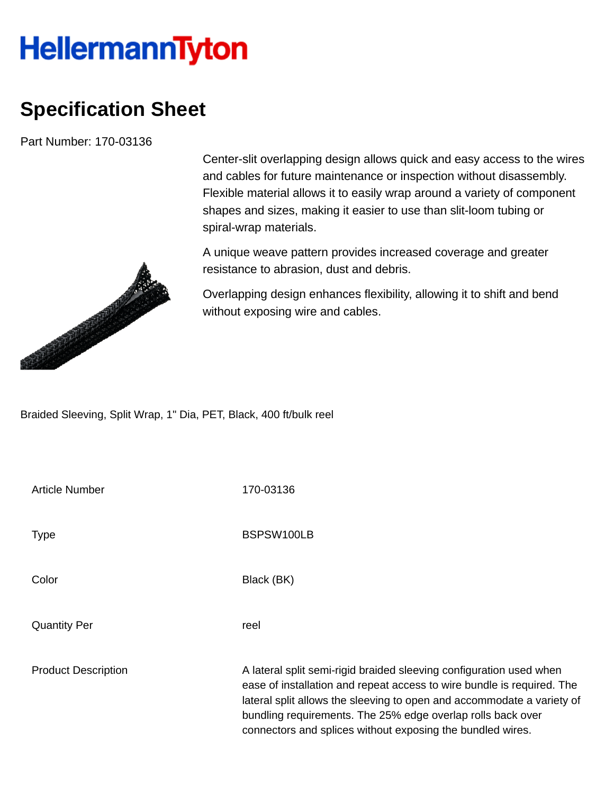## **HellermannTyton**

## **Specification Sheet**

Part Number: 170-03136



Center-slit overlapping design allows quick and easy access to the wires and cables for future maintenance or inspection without disassembly. Flexible material allows it to easily wrap around a variety of component shapes and sizes, making it easier to use than slit-loom tubing or spiral-wrap materials.

A unique weave pattern provides increased coverage and greater resistance to abrasion, dust and debris.

Overlapping design enhances flexibility, allowing it to shift and bend without exposing wire and cables.

Braided Sleeving, Split Wrap, 1" Dia, PET, Black, 400 ft/bulk reel

| <b>Article Number</b>      | 170-03136                                                                                                                                                                                                                                                                                                                                            |
|----------------------------|------------------------------------------------------------------------------------------------------------------------------------------------------------------------------------------------------------------------------------------------------------------------------------------------------------------------------------------------------|
| <b>Type</b>                | BSPSW100LB                                                                                                                                                                                                                                                                                                                                           |
| Color                      | Black (BK)                                                                                                                                                                                                                                                                                                                                           |
| <b>Quantity Per</b>        | reel                                                                                                                                                                                                                                                                                                                                                 |
| <b>Product Description</b> | A lateral split semi-rigid braided sleeving configuration used when<br>ease of installation and repeat access to wire bundle is required. The<br>lateral split allows the sleeving to open and accommodate a variety of<br>bundling requirements. The 25% edge overlap rolls back over<br>connectors and splices without exposing the bundled wires. |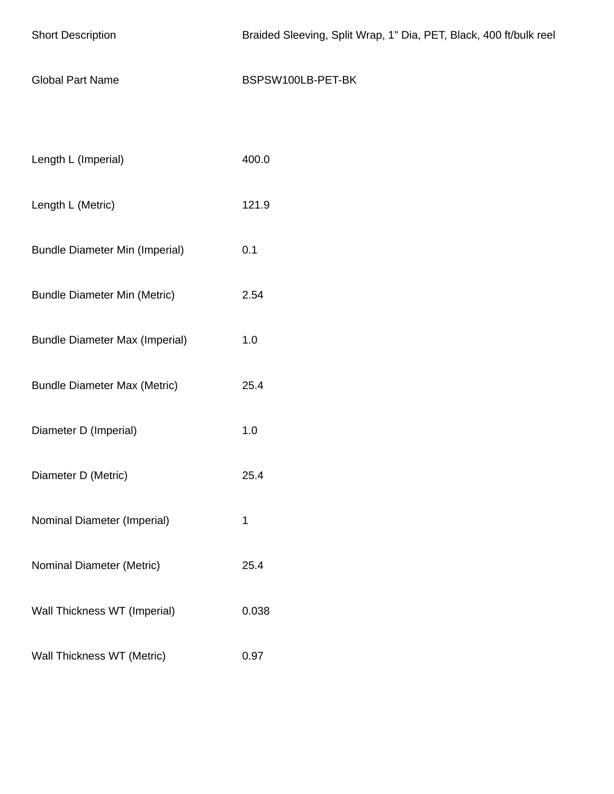| <b>Short Description</b>              | Braided Sleeving, Split Wrap, 1" Dia, PET, Black, 400 ft/bulk reel |
|---------------------------------------|--------------------------------------------------------------------|
| <b>Global Part Name</b>               | BSPSW100LB-PET-BK                                                  |
|                                       |                                                                    |
| Length L (Imperial)                   | 400.0                                                              |
| Length L (Metric)                     | 121.9                                                              |
| <b>Bundle Diameter Min (Imperial)</b> | 0.1                                                                |
| <b>Bundle Diameter Min (Metric)</b>   | 2.54                                                               |
| <b>Bundle Diameter Max (Imperial)</b> | 1.0                                                                |
| <b>Bundle Diameter Max (Metric)</b>   | 25.4                                                               |
| Diameter D (Imperial)                 | 1.0                                                                |
| Diameter D (Metric)                   | 25.4                                                               |
| Nominal Diameter (Imperial)           | 1                                                                  |
| Nominal Diameter (Metric)             | 25.4                                                               |
| Wall Thickness WT (Imperial)          | 0.038                                                              |
| Wall Thickness WT (Metric)            | 0.97                                                               |